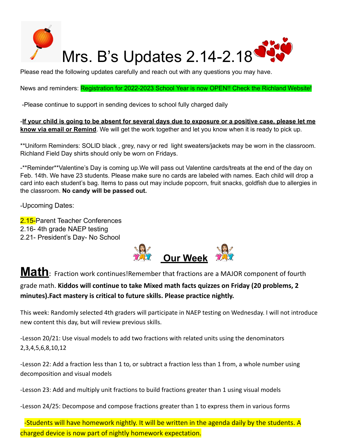

Please read the following updates carefully and reach out with any questions you may have.

News and reminders: Registration for 2022-2023 School Year is now OPEN!! Check the Richland Website!

-Please continue to support in sending devices to school fully charged daily

-If your child is going to be absent for several days due to exposure or a positive case, please let me **know via email or Remind**. We will get the work together and let you know when it is ready to pick up.

\*\*Uniform Reminders: SOLID black , grey, navy or red light sweaters/jackets may be worn in the classroom. Richland Field Day shirts should only be worn on Fridays.

-\*\*Reminder\*\*Valentine's Day is coming up.We will pass out Valentine cards/treats at the end of the day on Feb. 14th. We have 23 students. Please make sure no cards are labeled with names. Each child will drop a card into each student's bag. Items to pass out may include popcorn, fruit snacks, goldfish due to allergies in the classroom. **No candy will be passed out.**

-Upcoming Dates:

2.15-Parent Teacher Conferences 2.16- 4th grade NAEP testing 2.21- President's Day- No School



**Math**: Fraction work continues!Remember that fractions are a MAJOR component of fourth

grade math. **Kiddos will continue to take Mixed math facts quizzes on Friday (20 problems, 2 minutes).Fact mastery is critical to future skills. Please practice nightly.**

This week: Randomly selected 4th graders will participate in NAEP testing on Wednesday. I will not introduce new content this day, but will review previous skills.

-Lesson 20/21: Use visual models to add two fractions with related units using the denominators 2,3,4,5,6,8,10,12

-Lesson 22: Add a fraction less than 1 to, or subtract a fraction less than 1 from, a whole number using decomposition and visual models

-Lesson 23: Add and multiply unit fractions to build fractions greater than 1 using visual models

-Lesson 24/25: Decompose and compose fractions greater than 1 to express them in various forms

-Students will have homework nightly. It will be written in the agenda daily by the students. A charged device is now part of nightly homework expectation.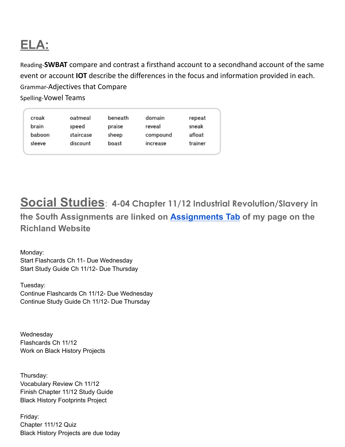## **ELA:**

Reading-**SWBAT** compare and contrast a firsthand account to a secondhand account of the same event or account **IOT** describe the differences in the focus and information provided in each. Grammar-Adjectives that Compare Spelling-Vowel Teams

| croak  | oatmeal   | beneath | domain   | repeat  |
|--------|-----------|---------|----------|---------|
| brain  | speed     | praise  | reveal   | sneak   |
| baboon | staircase | sheep   | compound | afloat  |
| sleeve | discount  | boast   | increase | trainer |
|        |           |         |          |         |

**Social Studies**: **4-04 Chapter 11/12 Industrial Revolution/Slavery in**

**the South Assignments are linked on [Assignments Tab](https://schools.scsk12.org/Page/14428) of my page on the Richland Website**

Monday: Start Flashcards Ch 11- Due Wednesday Start Study Guide Ch 11/12- Due Thursday

Tuesday: Continue Flashcards Ch 11/12- Due Wednesday Continue Study Guide Ch 11/12- Due Thursday

**Wednesday** Flashcards Ch 11/12 Work on Black History Projects

Thursday: Vocabulary Review Ch 11/12 Finish Chapter 11/12 Study Guide Black History Footprints Project

Friday: Chapter 111/12 Quiz Black History Projects are due today